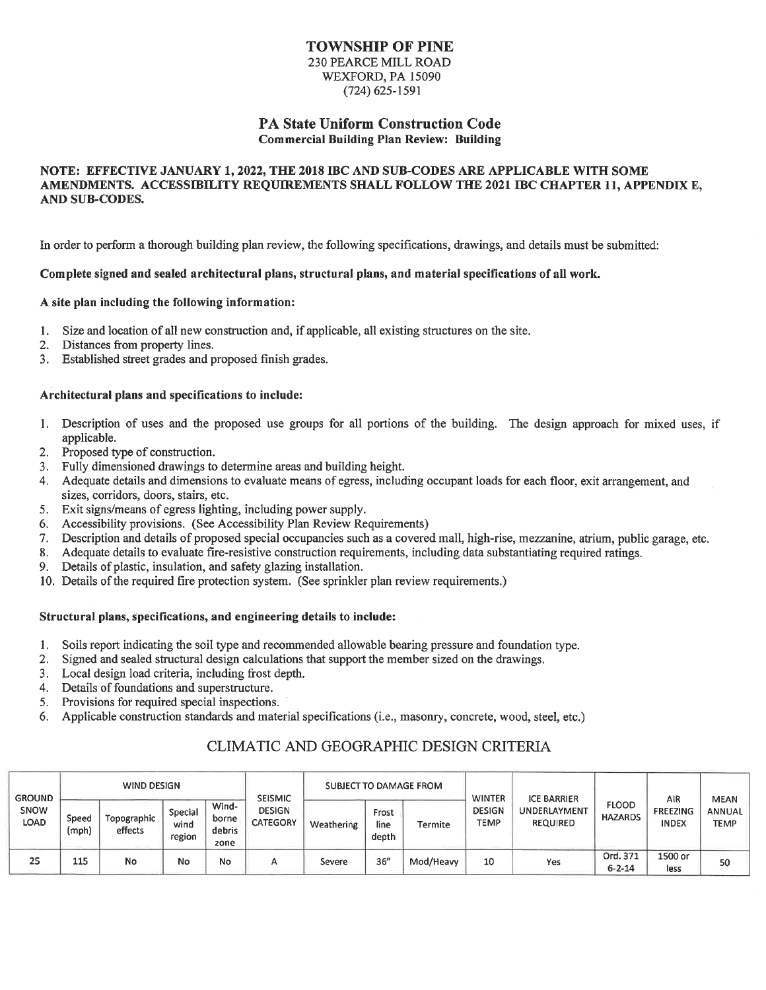# **TOWNSHIP OF PINE**

230 PEARCE MILL ROAD WEXFORD, PA 15090  $(724)$  625-1591

#### **PA State Uniform Construction Code Commercial Building Plan Review: Building**

#### NOTE: EFFECTIVE JANUARY 1, 2022, THE 2018 IBC AND SUB-CODES ARE APPLICABLE WITH SOME AMENDMENTS. ACCESSIBILITY REQUIREMENTS SHALL FOLLOW THE 2021 IBC CHAPTER 11, APPENDIX E, AND SUB-CODES.

In order to perform a thorough building plan review, the following specifications, drawings, and details must be submitted:

#### Complete signed and sealed architectural plans, structural plans, and material specifications of all work.

#### A site plan including the following information:

- Size and location of all new construction and, if applicable, all existing structures on the site.  $1.$
- Distances from property lines.  $2.$
- Established street grades and proposed finish grades.  $3.$

#### Architectural plans and specifications to include:

- 1. Description of uses and the proposed use groups for all portions of the building. The design approach for mixed uses, if applicable.
- $2.$ Proposed type of construction.
- 3. Fully dimensioned drawings to determine areas and building height.
- 4. Adequate details and dimensions to evaluate means of egress, including occupant loads for each floor, exit arrangement, and sizes, corridors, doors, stairs, etc.
- Exit signs/means of egress lighting, including power supply.  $5.$
- Accessibility provisions. (See Accessibility Plan Review Requirements) 6.
- Description and details of proposed special occupancies such as a covered mall, high-rise, mezzanine, atrium, public garage, etc.  $7.$
- Adequate details to evaluate fire-resistive construction requirements, including data substantiating required ratings. 8.
- Details of plastic, insulation, and safety glazing installation. 9.
- 10. Details of the required fire protection system. (See sprinkler plan review requirements.)

#### Structural plans, specifications, and engineering details to include:

- Soils report indicating the soil type and recommended allowable bearing pressure and foundation type.  $1.$
- Signed and sealed structural design calculations that support the member sized on the drawings.  $2.$
- Local design load criteria, including frost depth.  $3.$
- Details of foundations and superstructure.  $4.$
- Provisions for required special inspections. 5.
- Applicable construction standards and material specifications (i.e., masonry, concrete, wood, steel, etc.) 6.

| <b>GROUND</b><br>SNOW<br><b>LOAD</b> | <b>WIND DESIGN</b> |                        |                           |                                  | <b>SEISMIC</b>            | SUBJECT TO DAMAGE FROM |                        |           | <b>WINTER</b>         | <b>ICE BARRIER</b>                     |                                | AIR                             | <b>MEAN</b>           |
|--------------------------------------|--------------------|------------------------|---------------------------|----------------------------------|---------------------------|------------------------|------------------------|-----------|-----------------------|----------------------------------------|--------------------------------|---------------------------------|-----------------------|
|                                      | Speed<br>(mph)     | Topographic<br>effects | Special<br>wind<br>region | Wind-<br>borne<br>debris<br>zone | <b>DESIGN</b><br>CATEGORY | Weathering             | Frost<br>line<br>depth | Termite   | <b>DESIGN</b><br>TEMP | <b>UNDERLAYMENT</b><br><b>REQUIRED</b> | <b>FLOOD</b><br><b>HAZARDS</b> | <b>FREEZING</b><br><b>INDEX</b> | <b>ANNUAL</b><br>TEMP |
| 25                                   | 115                | No                     | No                        | No                               | А                         | Severe                 | 36''                   | Mod/Heavy | 10                    | Yes                                    | Ord. 371<br>$6 - 2 - 14$       | 1500 or<br>less                 | 50                    |

### CLIMATIC AND GEOGRAPHIC DESIGN CRITERIA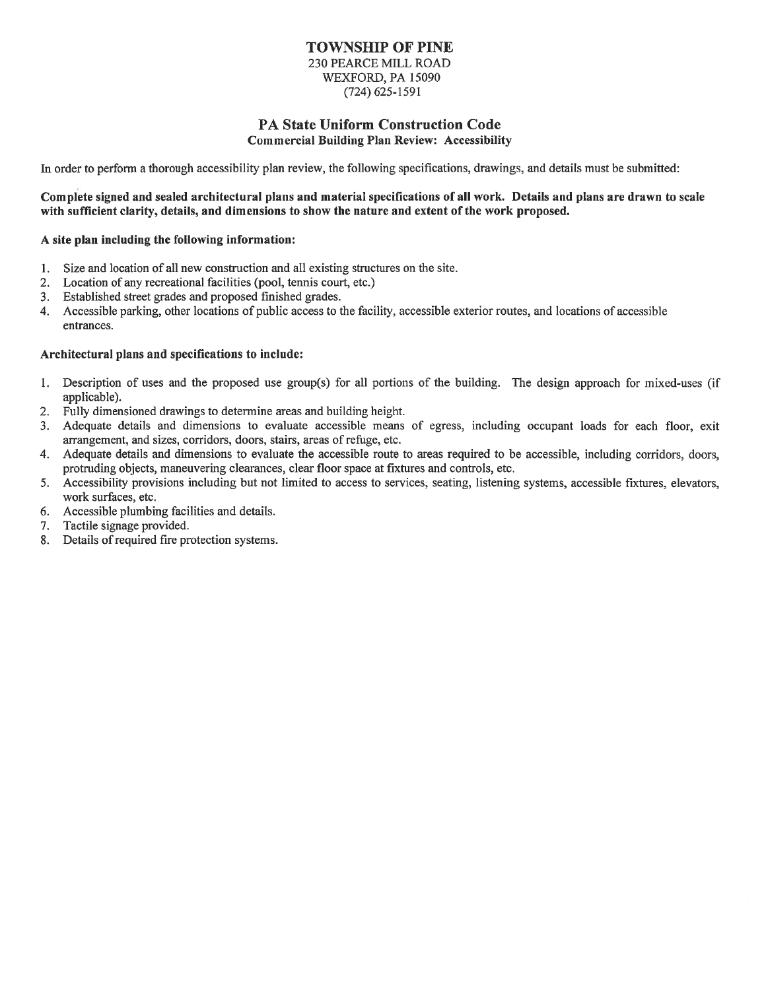# **TOWNSHIP OF PINE**

230 PEARCE MILL ROAD WEXFORD, PA 15090  $(724)$  625-1591

#### **PA State Uniform Construction Code Commercial Building Plan Review: Accessibility**

In order to perform a thorough accessibility plan review, the following specifications, drawings, and details must be submitted:

#### Complete signed and sealed architectural plans and material specifications of all work. Details and plans are drawn to scale with sufficient clarity, details, and dimensions to show the nature and extent of the work proposed.

#### A site plan including the following information:

- Size and location of all new construction and all existing structures on the site.  $1.$
- $2.$ Location of any recreational facilities (pool, tennis court, etc.)
- Established street grades and proposed finished grades.  $3.$
- Accessible parking, other locations of public access to the facility, accessible exterior routes, and locations of accessible  $4.$ entrances.

#### Architectural plans and specifications to include:

- Description of uses and the proposed use group(s) for all portions of the building. The design approach for mixed-uses (if  $1.$ applicable).
- Fully dimensioned drawings to determine areas and building height.  $2.$
- Adequate details and dimensions to evaluate accessible means of egress, including occupant loads for each floor, exit  $3<sub>1</sub>$ arrangement, and sizes, corridors, doors, stairs, areas of refuge, etc.
- 4. Adequate details and dimensions to evaluate the accessible route to areas required to be accessible, including corridors, doors, protruding objects, maneuvering clearances, clear floor space at fixtures and controls, etc.
- 5. Accessibility provisions including but not limited to access to services, seating, listening systems, accessible fixtures, elevators, work surfaces, etc.
- Accessible plumbing facilities and details. 6.
- Tactile signage provided. 7.
- 8. Details of required fire protection systems.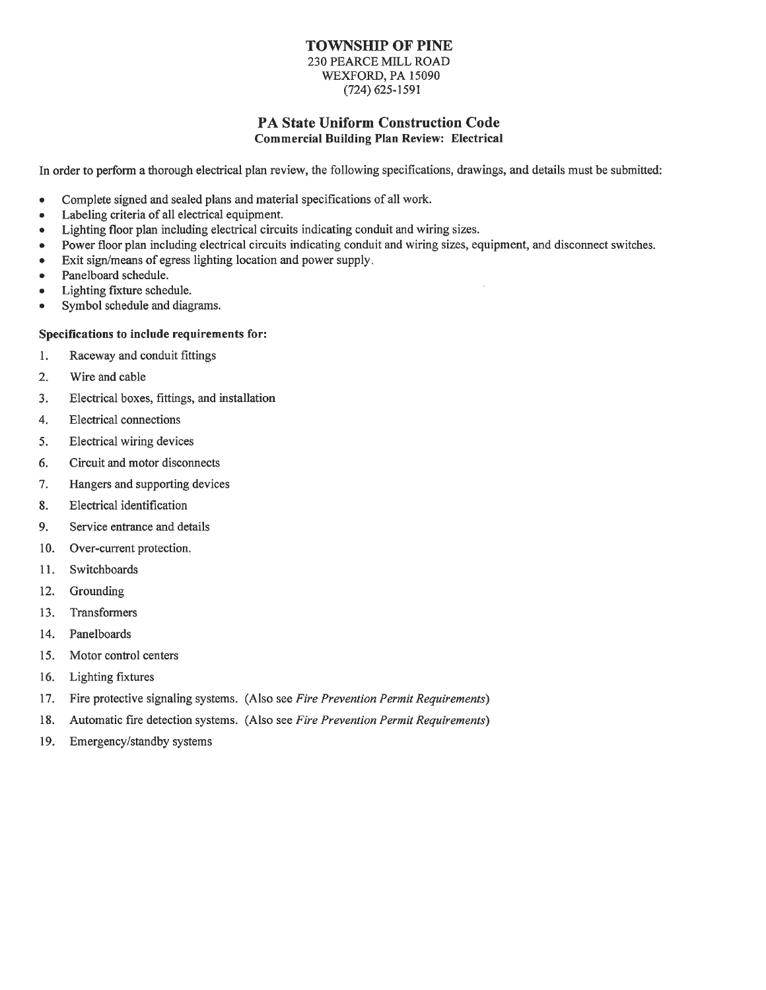#### **TOWNSHIP OF PINE 230 PEARCE MILL ROAD** WEXFORD, PA 15090

 $(724)$  625-1591

# PA State Uniform Construction Code

**Commercial Building Plan Review: Electrical** 

In order to perform a thorough electrical plan review, the following specifications, drawings, and details must be submitted:

- Complete signed and sealed plans and material specifications of all work.  $\bullet$
- Labeling criteria of all electrical equipment.
- Lighting floor plan including electrical circuits indicating conduit and wiring sizes.  $\bullet$
- Power floor plan including electrical circuits indicating conduit and wiring sizes, equipment, and disconnect switches.  $\bullet$
- Exit sign/means of egress lighting location and power supply.  $\bullet$
- Panelboard schedule.  $\bullet$
- Lighting fixture schedule.  $\bullet$
- Symbol schedule and diagrams.  $\bullet$

#### Specifications to include requirements for:

- $1.$ Raceway and conduit fittings
- $2.$ Wire and cable
- $3<sub>1</sub>$ Electrical boxes, fittings, and installation
- $\overline{4}$ . **Electrical connections**
- 5. Electrical wiring devices
- 6. Circuit and motor disconnects
- 7. Hangers and supporting devices
- 8. Electrical identification
- 9. Service entrance and details
- $10.$ Over-current protection.
- $11.$ Switchboards
- $12.$ Grounding
- 13. Transformers
- 14. Panelboards
- 15. Motor control centers
- 16. Lighting fixtures
- 17. Fire protective signaling systems. (Also see Fire Prevention Permit Requirements)
- Automatic fire detection systems. (Also see Fire Prevention Permit Requirements) 18.
- 19. Emergency/standby systems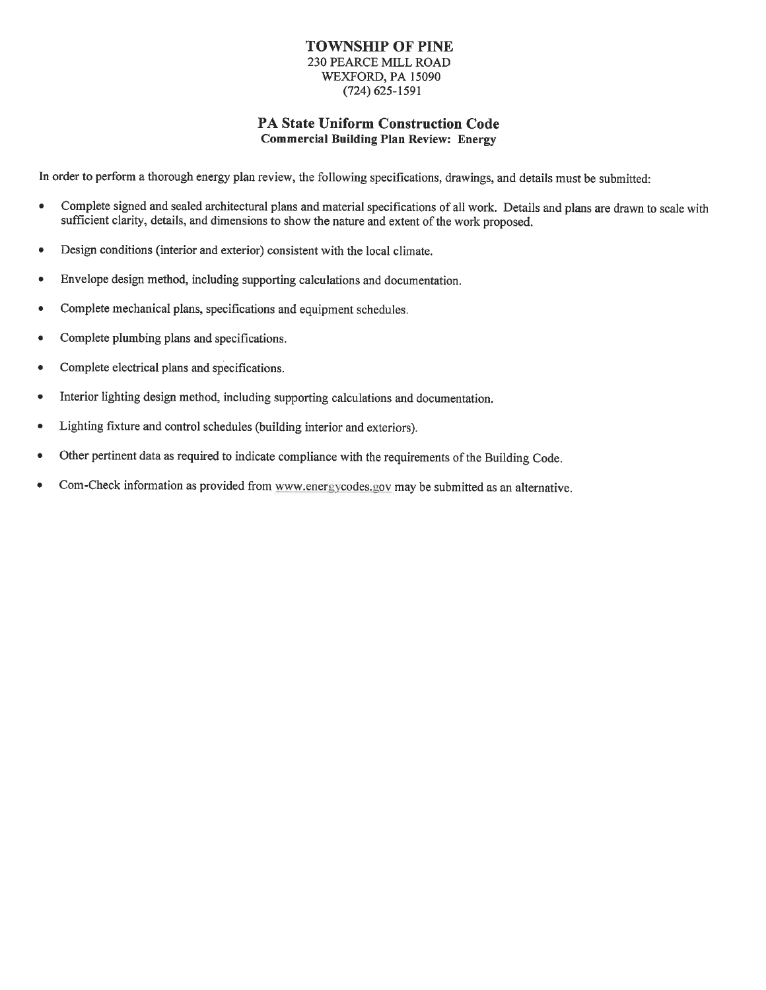#### **TOWNSHIP OF PINE 230 PEARCE MILL ROAD** WEXFORD, PA 15090  $(724) 625 - 1591$

#### **PA State Uniform Construction Code Commercial Building Plan Review: Energy**

In order to perform a thorough energy plan review, the following specifications, drawings, and details must be submitted:

- Complete signed and sealed architectural plans and material specifications of all work. Details and plans are drawn to scale with  $\bullet$ sufficient clarity, details, and dimensions to show the nature and extent of the work proposed.
- Design conditions (interior and exterior) consistent with the local climate.  $\bullet$
- Envelope design method, including supporting calculations and documentation.  $\bullet$
- Complete mechanical plans, specifications and equipment schedules.  $\bullet$
- Complete plumbing plans and specifications.  $\bullet$
- Complete electrical plans and specifications.  $\bullet$
- Interior lighting design method, including supporting calculations and documentation.  $\bullet$
- Lighting fixture and control schedules (building interior and exteriors).
- Other pertinent data as required to indicate compliance with the requirements of the Building Code.
- Com-Check information as provided from www.energycodes.gov may be submitted as an alternative.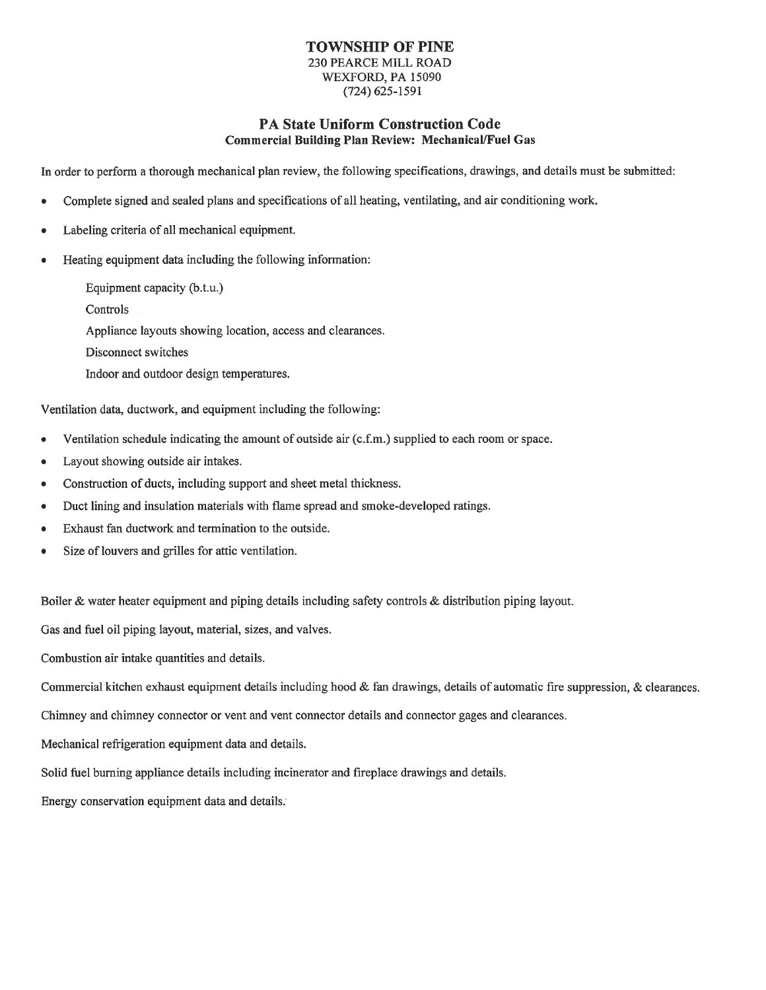#### TOWNSHIP OF PINE 230 PEARCE MILL ROAD WEXFORD, PA 15090  $(724)$  625-1591

#### PA State Uniform Construction Code **Commercial Building Plan Review: Mechanical/Fuel Gas**

In order to perform a thorough mechanical plan review, the following specifications, drawings, and details must be submitted:

- Complete signed and sealed plans and specifications of all heating, ventilating, and air conditioning work.
- Labeling criteria of all mechanical equipment.
- Heating equipment data including the following information:

Equipment capacity (b.t.u.)

Controls

Appliance layouts showing location, access and clearances.

Disconnect switches

Indoor and outdoor design temperatures.

Ventilation data, ductwork, and equipment including the following:

- Ventilation schedule indicating the amount of outside air (c.f.m.) supplied to each room or space.
- Layout showing outside air intakes.  $\bullet$
- Construction of ducts, including support and sheet metal thickness.  $\bullet$
- Duct lining and insulation materials with flame spread and smoke-developed ratings.  $\bullet$
- Exhaust fan ductwork and termination to the outside.  $\bullet$
- Size of louvers and grilles for attic ventilation.

Boiler & water heater equipment and piping details including safety controls & distribution piping layout.

Gas and fuel oil piping layout, material, sizes, and valves.

Combustion air intake quantities and details.

Commercial kitchen exhaust equipment details including hood & fan drawings, details of automatic fire suppression, & clearances.

Chimney and chimney connector or vent and vent connector details and connector gages and clearances.

Mechanical refrigeration equipment data and details.

Solid fuel burning appliance details including incinerator and fireplace drawings and details.

Energy conservation equipment data and details.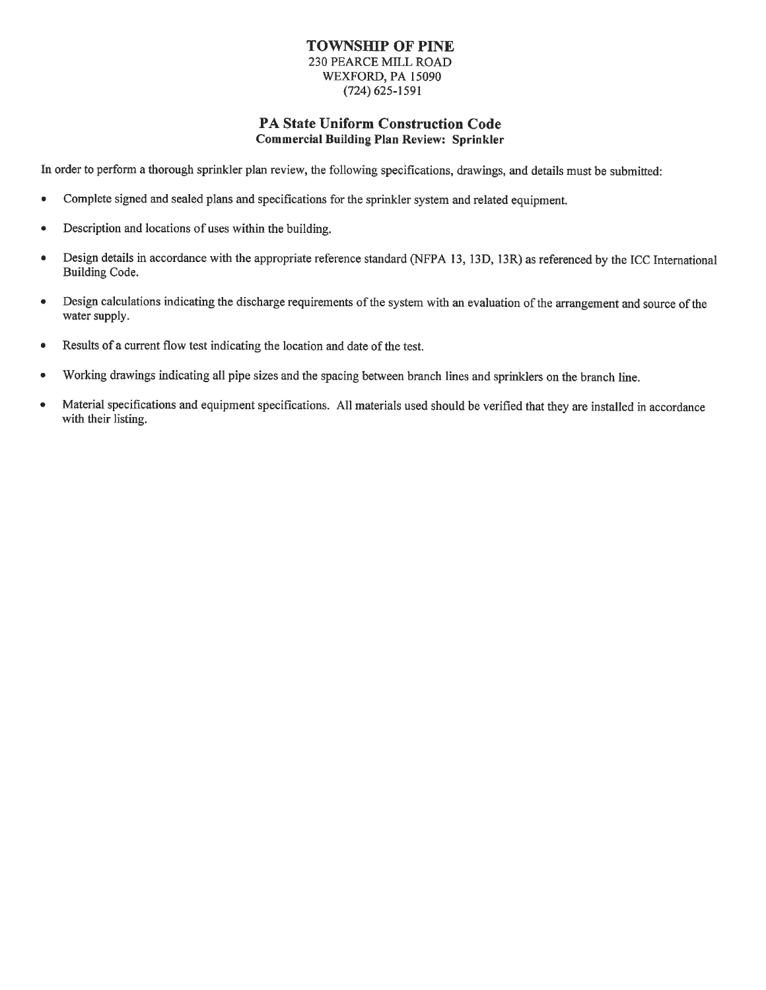#### **TOWNSHIP OF PINE** 230 PEARCE MILL ROAD WEXFORD, PA 15090  $(724) 625 - 1591$

#### PA State Uniform Construction Code **Commercial Building Plan Review: Sprinkler**

In order to perform a thorough sprinkler plan review, the following specifications, drawings, and details must be submitted:

- Complete signed and sealed plans and specifications for the sprinkler system and related equipment.  $\bullet$
- Description and locations of uses within the building.
- Design details in accordance with the appropriate reference standard (NFPA 13, 13D, 13R) as referenced by the ICC International Building Code.
- Design calculations indicating the discharge requirements of the system with an evaluation of the arrangement and source of the  $\bullet$ water supply.
- Results of a current flow test indicating the location and date of the test.  $\bullet$
- Working drawings indicating all pipe sizes and the spacing between branch lines and sprinklers on the branch line.  $\bullet$
- Material specifications and equipment specifications. All materials used should be verified that they are installed in accordance  $\bullet$ with their listing.